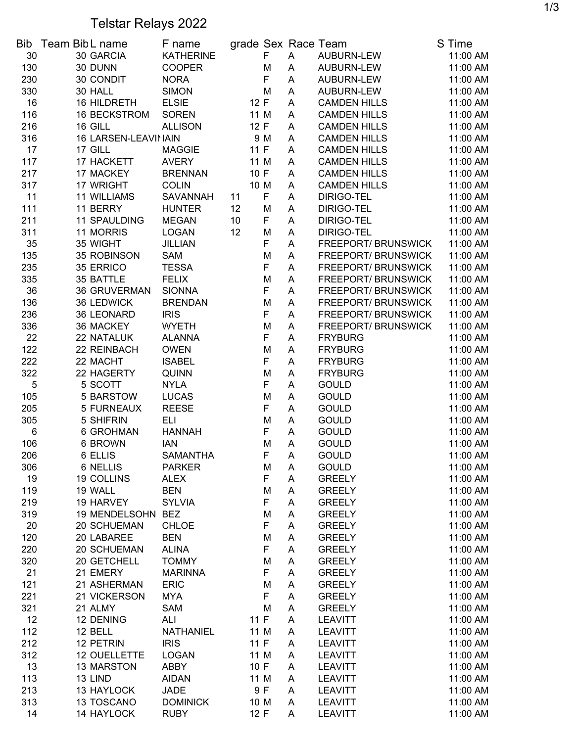## Telstar Relays 2022

|       | Bib Team Bib L name | F name           | grade Sex Race Team |     |   |                     | S Time   |
|-------|---------------------|------------------|---------------------|-----|---|---------------------|----------|
| 30    | 30 GARCIA           | <b>KATHERINE</b> |                     | F   | A | AUBURN-LEW          | 11:00 AM |
| 130   | 30 DUNN             | <b>COOPER</b>    |                     | M   | A | AUBURN-LEW          | 11:00 AM |
| 230   | 30 CONDIT           | <b>NORA</b>      |                     | F   | A | AUBURN-LEW          | 11:00 AM |
| 330   | 30 HALL             | <b>SIMON</b>     |                     | M   | A | AUBURN-LEW          | 11:00 AM |
| 16    | 16 HILDRETH         | <b>ELSIE</b>     | 12 F                |     | A | <b>CAMDEN HILLS</b> | 11:00 AM |
| 116   | <b>16 BECKSTROM</b> | <b>SOREN</b>     | 11 M                |     | A | <b>CAMDEN HILLS</b> | 11:00 AM |
| 216   | 16 GILL             | <b>ALLISON</b>   | 12 F                |     | A | <b>CAMDEN HILLS</b> | 11:00 AM |
| 316   | 16 LARSEN-LEAVINAIN |                  |                     | 9 M | A | <b>CAMDEN HILLS</b> | 11:00 AM |
| 17    | 17 GILL             | <b>MAGGIE</b>    | 11F                 |     | A | <b>CAMDEN HILLS</b> | 11:00 AM |
| 117   | 17 HACKETT          | <b>AVERY</b>     | 11 M                |     | A | <b>CAMDEN HILLS</b> | 11:00 AM |
| 217   | 17 MACKEY           | <b>BRENNAN</b>   | 10 F                |     | A | <b>CAMDEN HILLS</b> | 11:00 AM |
| 317   | 17 WRIGHT           | <b>COLIN</b>     | 10 M                |     | A | <b>CAMDEN HILLS</b> | 11:00 AM |
| 11    | <b>11 WILLIAMS</b>  | <b>SAVANNAH</b>  | 11                  | F   | A | DIRIGO-TEL          | 11:00 AM |
| 111   | 11 BERRY            | <b>HUNTER</b>    | 12                  | M   | A | DIRIGO-TEL          | 11:00 AM |
|       |                     |                  |                     |     |   |                     |          |
| 211   | <b>11 SPAULDING</b> | <b>MEGAN</b>     | 10                  | F   | A | DIRIGO-TEL          | 11:00 AM |
| 311   | 11 MORRIS           | <b>LOGAN</b>     | 12                  | M   | A | DIRIGO-TEL          | 11:00 AM |
| 35    | 35 WIGHT            | <b>JILLIAN</b>   |                     | F   | A | FREEPORT/ BRUNSWICK | 11:00 AM |
| 135   | 35 ROBINSON         | <b>SAM</b>       |                     | M   | A | FREEPORT/ BRUNSWICK | 11:00 AM |
| 235   | 35 ERRICO           | <b>TESSA</b>     |                     | F   | A | FREEPORT/ BRUNSWICK | 11:00 AM |
| 335   | 35 BATTLE           | <b>FELIX</b>     |                     | M   | A | FREEPORT/BRUNSWICK  | 11:00 AM |
| 36    | <b>36 GRUVERMAN</b> | <b>SIONNA</b>    |                     | F   | A | FREEPORT/ BRUNSWICK | 11:00 AM |
| 136   | 36 LEDWICK          | <b>BRENDAN</b>   |                     | M   | A | FREEPORT/ BRUNSWICK | 11:00 AM |
| 236   | 36 LEONARD          | <b>IRIS</b>      |                     | F   | A | FREEPORT/ BRUNSWICK | 11:00 AM |
| 336   | 36 MACKEY           | <b>WYETH</b>     |                     | M   | A | FREEPORT/ BRUNSWICK | 11:00 AM |
| 22    | 22 NATALUK          | <b>ALANNA</b>    |                     | F   | A | <b>FRYBURG</b>      | 11:00 AM |
| 122   | 22 REINBACH         | <b>OWEN</b>      |                     | M   | A | <b>FRYBURG</b>      | 11:00 AM |
| 222   | 22 MACHT            | <b>ISABEL</b>    |                     | F   | A | <b>FRYBURG</b>      | 11:00 AM |
| 322   | 22 HAGERTY          | <b>QUINN</b>     |                     | M   | A | <b>FRYBURG</b>      | 11:00 AM |
| 5     | 5 SCOTT             | <b>NYLA</b>      |                     | F   | A | <b>GOULD</b>        | 11:00 AM |
| 105   | 5 BARSTOW           | <b>LUCAS</b>     |                     | M   | A | <b>GOULD</b>        | 11:00 AM |
| 205   | <b>5 FURNEAUX</b>   | <b>REESE</b>     |                     | F   | A | <b>GOULD</b>        | 11:00 AM |
| 305   | 5 SHIFRIN           | <b>ELI</b>       |                     | M   | A | <b>GOULD</b>        | 11:00 AM |
| $\,6$ | 6 GROHMAN           | <b>HANNAH</b>    |                     | F   | A | <b>GOULD</b>        | 11:00 AM |
| 106   | 6 BROWN             | <b>IAN</b>       |                     | M   | A | <b>GOULD</b>        | 11:00 AM |
| 206   | 6 ELLIS             | <b>SAMANTHA</b>  |                     | F   | A | <b>GOULD</b>        | 11:00 AM |
| 306   | 6 NELLIS            | <b>PARKER</b>    |                     | M   | Α | <b>GOULD</b>        | 11:00 AM |
| 19    | 19 COLLINS          | <b>ALEX</b>      |                     | F   | Α | <b>GREELY</b>       | 11:00 AM |
| 119   | 19 WALL             | <b>BEN</b>       |                     | М   | A | <b>GREELY</b>       | 11:00 AM |
| 219   | 19 HARVEY           | <b>SYLVIA</b>    |                     | F   | A | <b>GREELY</b>       | 11:00 AM |
| 319   | 19 MENDELSOHN       | <b>BEZ</b>       |                     | М   | A | <b>GREELY</b>       | 11:00 AM |
| 20    | 20 SCHUEMAN         | <b>CHLOE</b>     |                     | F   | A | <b>GREELY</b>       | 11:00 AM |
| 120   | 20 LABAREE          | <b>BEN</b>       |                     | M   | A | <b>GREELY</b>       | 11:00 AM |
| 220   | 20 SCHUEMAN         | <b>ALINA</b>     |                     | F   | A | <b>GREELY</b>       | 11:00 AM |
|       |                     |                  |                     |     |   |                     |          |
| 320   | 20 GETCHELL         | <b>TOMMY</b>     |                     | M   | A | <b>GREELY</b>       | 11:00 AM |
| 21    | 21 EMERY            | <b>MARINNA</b>   |                     | F   | A | <b>GREELY</b>       | 11:00 AM |
| 121   | 21 ASHERMAN         | <b>ERIC</b>      |                     | M   | Α | <b>GREELY</b>       | 11:00 AM |
| 221   | 21 VICKERSON        | <b>MYA</b>       |                     | F   | Α | <b>GREELY</b>       | 11:00 AM |
| 321   | 21 ALMY             | SAM              |                     | M   | Α | <b>GREELY</b>       | 11:00 AM |
| 12    | 12 DENING           | <b>ALI</b>       | 11 F                |     | A | <b>LEAVITT</b>      | 11:00 AM |
| 112   | 12 BELL             | NATHANIEL        | 11 M                |     | A | <b>LEAVITT</b>      | 11:00 AM |
| 212   | 12 PETRIN           | <b>IRIS</b>      | 11F                 |     | A | <b>LEAVITT</b>      | 11:00 AM |
| 312   | 12 OUELLETTE        | <b>LOGAN</b>     | 11 M                |     | A | <b>LEAVITT</b>      | 11:00 AM |
| 13    | 13 MARSTON          | <b>ABBY</b>      | 10 F                |     | A | <b>LEAVITT</b>      | 11:00 AM |
| 113   | 13 LIND             | <b>AIDAN</b>     | 11 M                |     | A | <b>LEAVITT</b>      | 11:00 AM |
| 213   | 13 HAYLOCK          | <b>JADE</b>      |                     | 9 F | A | <b>LEAVITT</b>      | 11:00 AM |
| 313   | 13 TOSCANO          | <b>DOMINICK</b>  | 10 M                |     | Α | <b>LEAVITT</b>      | 11:00 AM |
| 14    | 14 HAYLOCK          | <b>RUBY</b>      | 12 F                |     | A | <b>LEAVITT</b>      | 11:00 AM |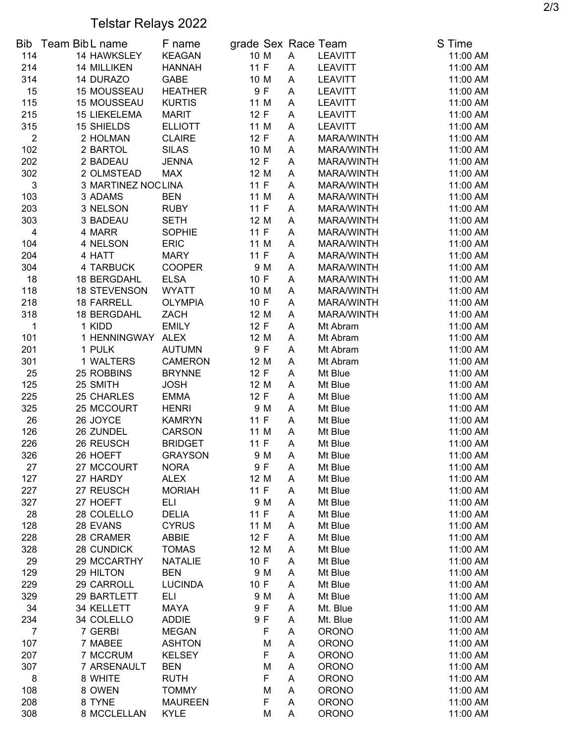## Telstar Relays 2022

| Bib                       | Team Bib L name     | F name         |      |      |   | grade Sex Race Team | S Time   |
|---------------------------|---------------------|----------------|------|------|---|---------------------|----------|
| 114                       | 14 HAWKSLEY         | <b>KEAGAN</b>  |      | 10 M | A | <b>LEAVITT</b>      | 11:00 AM |
| 214                       | <b>14 MILLIKEN</b>  | <b>HANNAH</b>  | 11 F |      | A | <b>LEAVITT</b>      | 11:00 AM |
| 314                       | 14 DURAZO           | <b>GABE</b>    | 10 M |      | A | <b>LEAVITT</b>      | 11:00 AM |
| 15                        | <b>15 MOUSSEAU</b>  | <b>HEATHER</b> |      | 9F   | A | <b>LEAVITT</b>      | 11:00 AM |
| 115                       | <b>15 MOUSSEAU</b>  | <b>KURTIS</b>  | 11 M |      | A | <b>LEAVITT</b>      | 11:00 AM |
| 215                       | <b>15 LIEKELEMA</b> | <b>MARIT</b>   | 12 F |      | A | <b>LEAVITT</b>      | 11:00 AM |
| 315                       | <b>15 SHIELDS</b>   | <b>ELLIOTT</b> |      | 11 M | A | <b>LEAVITT</b>      | 11:00 AM |
| $\overline{2}$            | 2 HOLMAN            | <b>CLAIRE</b>  | 12 F |      | A | MARA/WINTH          | 11:00 AM |
| 102                       | 2 BARTOL            | <b>SILAS</b>   |      | 10 M | A | MARA/WINTH          | 11:00 AM |
| 202                       | 2 BADEAU            | <b>JENNA</b>   | 12 F |      | A | MARA/WINTH          | 11:00 AM |
| 302                       | 2 OLMSTEAD          | <b>MAX</b>     |      | 12 M | A | MARA/WINTH          | 11:00 AM |
| $\ensuremath{\mathsf{3}}$ | 3 MARTINEZ NOC LINA |                | 11 F |      | A | MARA/WINTH          | 11:00 AM |
| 103                       | 3 ADAMS             | <b>BEN</b>     | 11 M |      | Α | MARA/WINTH          | 11:00 AM |
| 203                       | 3 NELSON            | <b>RUBY</b>    | 11 F |      | A | MARA/WINTH          | 11:00 AM |
| 303                       | 3 BADEAU            | <b>SETH</b>    | 12 M |      | Α | MARA/WINTH          | 11:00 AM |
| 4                         | 4 MARR              | <b>SOPHIE</b>  | 11 F |      | A | MARA/WINTH          | 11:00 AM |
| 104                       | 4 NELSON            | <b>ERIC</b>    | 11 M |      | A | MARA/WINTH          | 11:00 AM |
| 204                       | 4 HATT              | <b>MARY</b>    | 11 F |      | A | MARA/WINTH          | 11:00 AM |
| 304                       | 4 TARBUCK           | <b>COOPER</b>  |      | 9 M  | A | MARA/WINTH          | 11:00 AM |
| 18                        | 18 BERGDAHL         | <b>ELSA</b>    | 10 F |      | A | MARA/WINTH          | 11:00 AM |
| 118                       | <b>18 STEVENSON</b> | <b>WYATT</b>   | 10 M |      | A | MARA/WINTH          | 11:00 AM |
| 218                       | 18 FARRELL          | <b>OLYMPIA</b> | 10 F |      | A | MARA/WINTH          | 11:00 AM |
| 318                       | 18 BERGDAHL         | ZACH           |      | 12 M | A | MARA/WINTH          | 11:00 AM |
| 1                         | 1 KIDD              | <b>EMILY</b>   | 12 F |      | A | Mt Abram            | 11:00 AM |
| 101                       | 1 HENNINGWAY        | <b>ALEX</b>    | 12 M |      | A | Mt Abram            | 11:00 AM |
| 201                       | 1 PULK              | <b>AUTUMN</b>  |      | 9F   | A | Mt Abram            | 11:00 AM |
| 301                       | 1 WALTERS           | <b>CAMERON</b> | 12 M |      | A | Mt Abram            | 11:00 AM |
| 25                        | 25 ROBBINS          | <b>BRYNNE</b>  | 12 F |      | A | Mt Blue             | 11:00 AM |
| 125                       | 25 SMITH            | <b>JOSH</b>    |      | 12 M | A | Mt Blue             | 11:00 AM |
| 225                       | 25 CHARLES          | <b>EMMA</b>    | 12 F |      | A | Mt Blue             | 11:00 AM |
| 325                       | 25 MCCOURT          | <b>HENRI</b>   |      | 9 M  | A | Mt Blue             | 11:00 AM |
| 26                        | 26 JOYCE            | <b>KAMRYN</b>  | 11 F |      | A | Mt Blue             | 11:00 AM |
| 126                       | 26 ZUNDEL           | CARSON         |      | 11 M | A | Mt Blue             | 11:00 AM |
| 226                       | 26 REUSCH           | <b>BRIDGET</b> | 11 F |      | A | Mt Blue             | 11:00 AM |
| 326                       | 26 HOEFT            | <b>GRAYSON</b> |      | 9 M  | A | Mt Blue             | 11:00 AM |
| 27                        | 27 MCCOURT          | <b>NORA</b>    |      | 9 F  | Α | Mt Blue             | 11:00 AM |
| 127                       | 27 HARDY            | <b>ALEX</b>    | 12 M |      | Α | Mt Blue             | 11:00 AM |
| 227                       | 27 REUSCH           | <b>MORIAH</b>  | 11F  |      | A | Mt Blue             | 11:00 AM |
| 327                       | 27 HOEFT            | ELI            |      | 9 M  | A | Mt Blue             | 11:00 AM |
| 28                        | 28 COLELLO          | <b>DELIA</b>   | 11F  |      | A | Mt Blue             | 11:00 AM |
| 128                       | 28 EVANS            | <b>CYRUS</b>   | 11 M |      | A | Mt Blue             | 11:00 AM |
| 228                       | 28 CRAMER           | <b>ABBIE</b>   | 12 F |      | A | Mt Blue             | 11:00 AM |
| 328                       | 28 CUNDICK          | <b>TOMAS</b>   | 12 M |      | A | Mt Blue             | 11:00 AM |
| 29                        | 29 MCCARTHY         | <b>NATALIE</b> | 10 F |      | A | Mt Blue             | 11:00 AM |
| 129                       | 29 HILTON           | <b>BEN</b>     |      | 9 M  | A | Mt Blue             | 11:00 AM |
| 229                       | 29 CARROLL          | <b>LUCINDA</b> | 10 F |      | A | Mt Blue             | 11:00 AM |
| 329                       | 29 BARTLETT         | ELI            |      | 9 M  | Α | Mt Blue             | 11:00 AM |
| 34                        | 34 KELLETT          | <b>MAYA</b>    |      | 9 F  | Α | Mt. Blue            | 11:00 AM |
| 234                       | 34 COLELLO          | <b>ADDIE</b>   |      | 9 F  | Α | Mt. Blue            | 11:00 AM |
| 7                         | 7 GERBI             | <b>MEGAN</b>   |      | F    | Α | <b>ORONO</b>        | 11:00 AM |
| 107                       | 7 MABEE             | <b>ASHTON</b>  |      | M    | Α | <b>ORONO</b>        | 11:00 AM |
| 207                       | 7 MCCRUM            | <b>KELSEY</b>  |      | F    | A | <b>ORONO</b>        | 11:00 AM |
| 307                       | 7 ARSENAULT         | <b>BEN</b>     |      | M    | A | <b>ORONO</b>        | 11:00 AM |
| 8                         | 8 WHITE             | <b>RUTH</b>    |      | F    | A | <b>ORONO</b>        | 11:00 AM |
| 108                       | 8 OWEN              | <b>TOMMY</b>   |      | M    | Α | <b>ORONO</b>        | 11:00 AM |
| 208                       | 8 TYNE              | <b>MAUREEN</b> |      | F    | Α | <b>ORONO</b>        | 11:00 AM |
| 308                       | 8 MCCLELLAN         | <b>KYLE</b>    |      | M    | A | <b>ORONO</b>        | 11:00 AM |